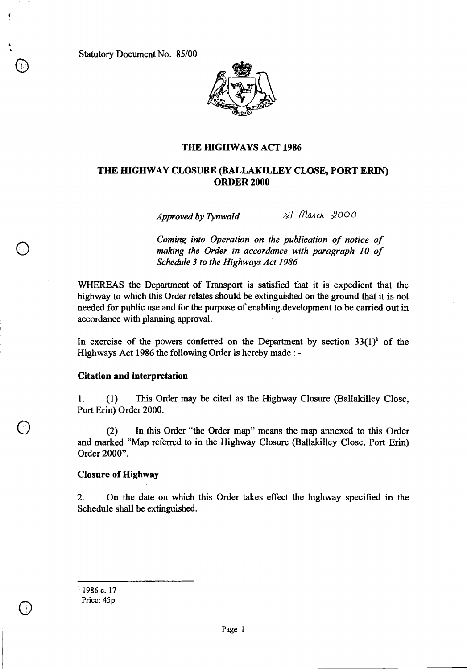Statutory Document No. 85/00

o

0



### **THE HIGHWAYS ACT 1986**

## **THE HIGHWAY CLOSURE (BALLAKILLEY CLOSE, PORT ERIN) ORDER 2000**

*Approved by Tynwald 8-21 March 2000* 

*Coming into Operation on the publication of notice of making the Order in accordance with paragraph 10 of Schedule 3 to the Highways Act 1986* 

WHEREAS the Department of Transport is satisfied that it is expedient that the highway to which this Order relates should be extinguished on the ground that it is not needed for public use and for the purpose of enabling development to be carried out in accordance with planning approval.

In exercise of the powers conferred on the Department by section  $33(1)^1$  of the Highways Act 1986 the following Order is hereby made : -

#### **Citation and interpretation**

1. (1) This Order may be cited as the Highway Closure (Ballakilley Close, Port Erin) Order 2000.

(2) In this Order "the Order map" means the map annexed to this Order and marked "Map referred to in the Highway Closure (Ballakilley Close, Port Erin) Order 2000".

#### **Closure of Highway**

2. On the date on which this Order takes effect the highway specified in the Schedule shall be extinguished.

 $1986$  c. 17 Price: 45p

 $\bigcirc$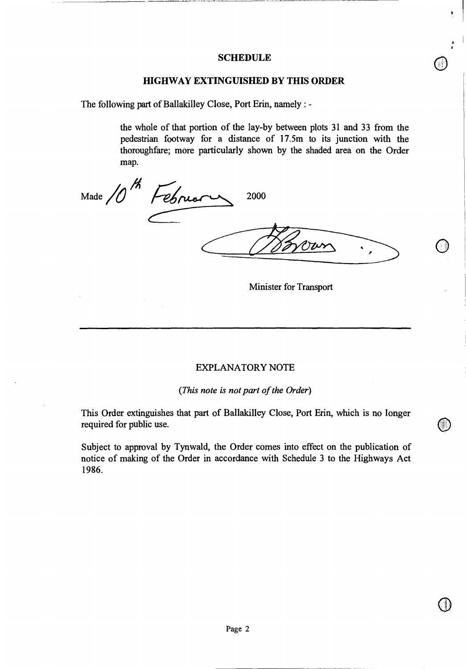### **SCHEDULE**

#### **HIGHWAY EXTINGUISHED BY THIS ORDER**

The following part of Ballakilley Close, Port Erin, namely : -

the whole of that portion of the lay-by between plots 31 and 33 from the pedestrian footway for a distance of 17.5m to its junction with the thoroughfare; more particularly shown by the shaded area on the Order map.

Made /0<sup>m</sup> Fébruary 2000 w

Minister for Transport

#### EXPLANATORY NOTE

#### *(This note is not part of the Order)*

This Order extinguishes that part of Ballakilley Close, Port Erin, which is no longer required for public use.

Subject to approval by Tynwald, the Order comes into effect on the publication of notice of making of the Order in accordance with Schedule 3 to the Highways Act 1986.